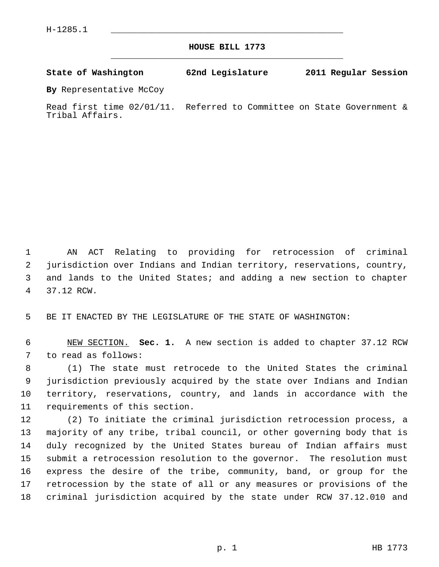**HOUSE BILL 1773** \_\_\_\_\_\_\_\_\_\_\_\_\_\_\_\_\_\_\_\_\_\_\_\_\_\_\_\_\_\_\_\_\_\_\_\_\_\_\_\_\_\_\_\_\_

**State of Washington 62nd Legislature 2011 Regular Session**

**By** Representative McCoy

Read first time 02/01/11. Referred to Committee on State Government & Tribal Affairs.

 1 AN ACT Relating to providing for retrocession of criminal 2 jurisdiction over Indians and Indian territory, reservations, country, 3 and lands to the United States; and adding a new section to chapter 4 37.12 RCW.

5 BE IT ENACTED BY THE LEGISLATURE OF THE STATE OF WASHINGTON:

 6 NEW SECTION. **Sec. 1.** A new section is added to chapter 37.12 RCW 7 to read as follows:

 8 (1) The state must retrocede to the United States the criminal 9 jurisdiction previously acquired by the state over Indians and Indian 10 territory, reservations, country, and lands in accordance with the 11 requirements of this section.

12 (2) To initiate the criminal jurisdiction retrocession process, a 13 majority of any tribe, tribal council, or other governing body that is 14 duly recognized by the United States bureau of Indian affairs must 15 submit a retrocession resolution to the governor. The resolution must 16 express the desire of the tribe, community, band, or group for the 17 retrocession by the state of all or any measures or provisions of the 18 criminal jurisdiction acquired by the state under RCW 37.12.010 and